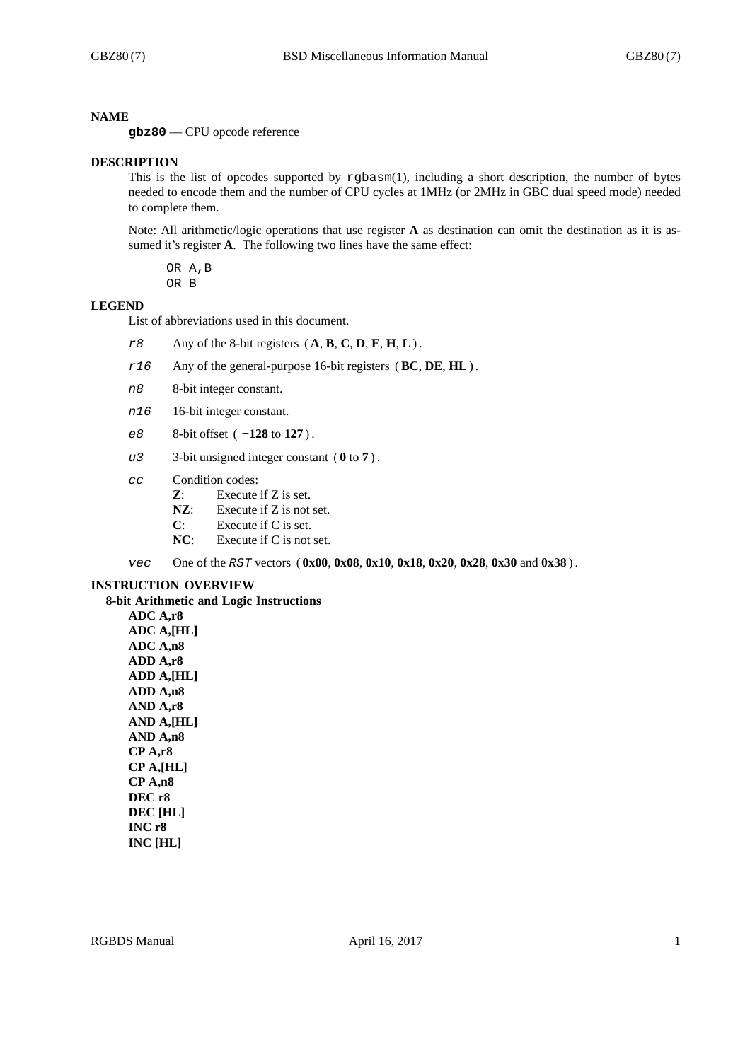#### **NAME**

**gbz80** — CPU opcode reference

#### **DESCRIPTION**

This is the list of opcodes supported by rgbasm(1), including a short description, the number of bytes needed to encode them and the number of CPU cycles at 1MHz (or 2MHz in GBC dual speed mode) needed to complete them.

Note: All arithmetic/logic operations that use register **A** as destination can omit the destination as it is assumed it's register **A**. The following two lines have the same effect:

OR A,B OR B

#### **LEGEND**

List of abbreviations used in this document.

- *r8* Any of the 8-bit registers ( **A**, **B**, **C**, **D**, **E**, **H**, **L**) .
- *r16* Any of the general-purpose 16-bit registers (**BC**, **DE**, **HL**) .
- *n8* 8-bit integer constant.
- *n16* 16-bit integer constant.
- *e8* 8-bit offset ( **-128** to **127** ) .
- *u3* 3-bit unsigned integer constant ( **0** to **7** ) .
- *cc* Condition codes:
	- **Z**: Execute if Z is set.
	- **NZ**: Execute if Z is not set.
	- **C**: Execute if C is set.
	- **NC**: Execute if C is not set.

*vec* One of the *RST* vectors ( **0x00**, **0x08**, **0x10**, **0x18**, **0x20**, **0x28**, **0x30** and **0x38** ) .

#### **INSTRUCTION OVERVIEW**

**8-bit Arithmetic and Logic Instructions ADC A,r8 ADC A,[HL] ADC A,n8 ADD A,r8 ADD A,[HL] ADD A,n8 AND A,r8 AND A,[HL] AND A,n8 CP A,r8 CP A,[HL] CP A,n8 DEC r8 DEC [HL]**

**INC r8 INC [HL]**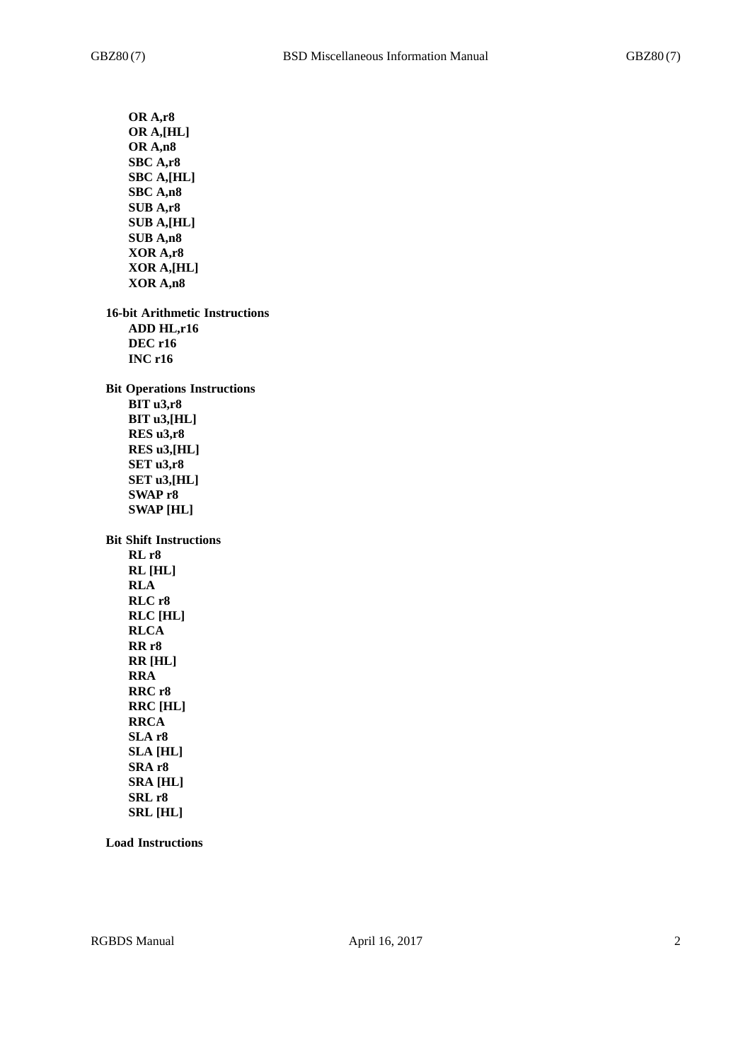**OR A,r8 OR A,[HL] OR A,n8 SBC A,r8 SBC A,[HL] SBC A,n8 SUB A,r8 SUB A,[HL] SUB A,n8 XOR A,r8 XOR A,[HL] XOR A,n8 16-bit Arithmetic Instructions ADD HL,r16 DEC r16 INC r16 Bit Operations Instructions BIT u3,r8 BIT u3,[HL] RES u3,r8 RES u3,[HL] SET u3,r8 SET u3,[HL] SWAP r8 SWAP [HL] Bit Shift Instructions RL r8 RL [HL] RLA RLC r8 RLC [HL] RLCA RR r8 RR [HL] RRA RRC r8 RRC [HL] RRCA SLA r8 SLA [HL] SRA r8 SRA [HL] SRL r8 SRL [HL]**

**Load Instructions**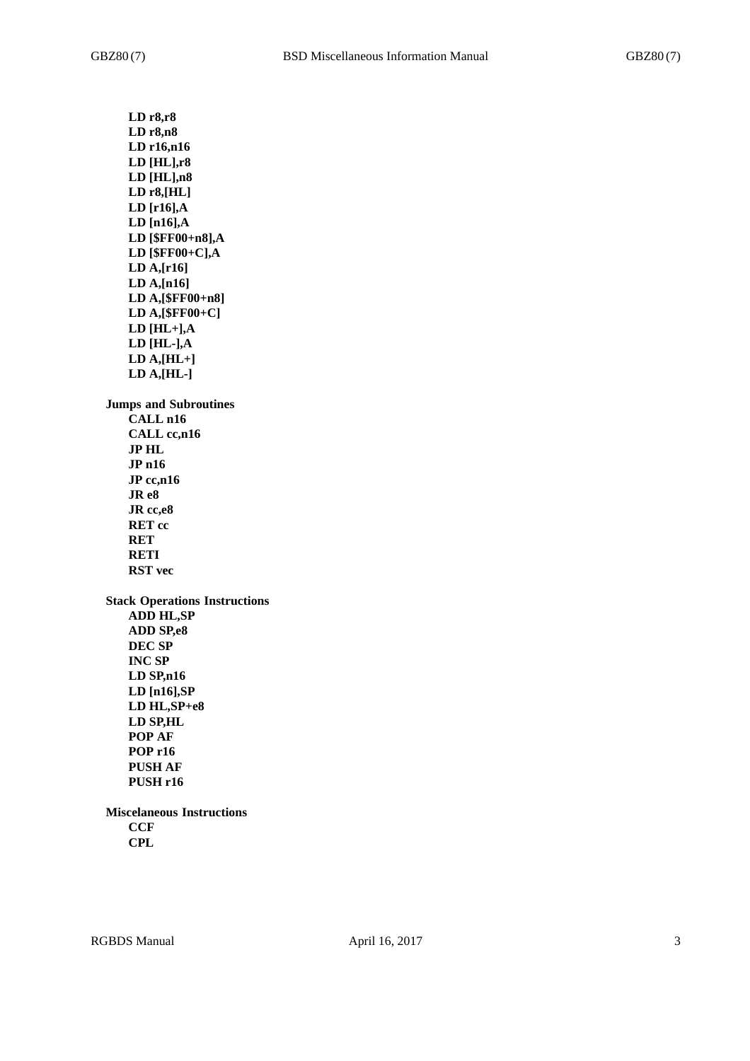**LD r8,r8 LD r8,n8 LD r16,n16 LD [HL],r8 LD [HL],n8 LD r8,[HL] LD [r16],A LD [n16],A LD [\$FF00+n8],A LD [\$FF00+C],A LD A,[r16] LD A,[n16] LD A,[\$FF00+n8] LD A,[\$FF00+C] LD [HL+],A LD [HL-],A LD A,[HL+] LD A,[HL-] Jumps and Subroutines CALL n16 CALL cc,n16 JP HL JP n16 JP cc,n16 JR e8 JR cc,e8 RET cc RET RETI RST vec Stack Operations Instructions ADD HL,SP ADD SP,e8 DEC SP INC SP LD SP,n16 LD [n16],SP LD HL,SP+e8 LD SP,HL POP AF POP r16 PUSH AF PUSH r16 Miscelaneous Instructions CCF**

**CPL**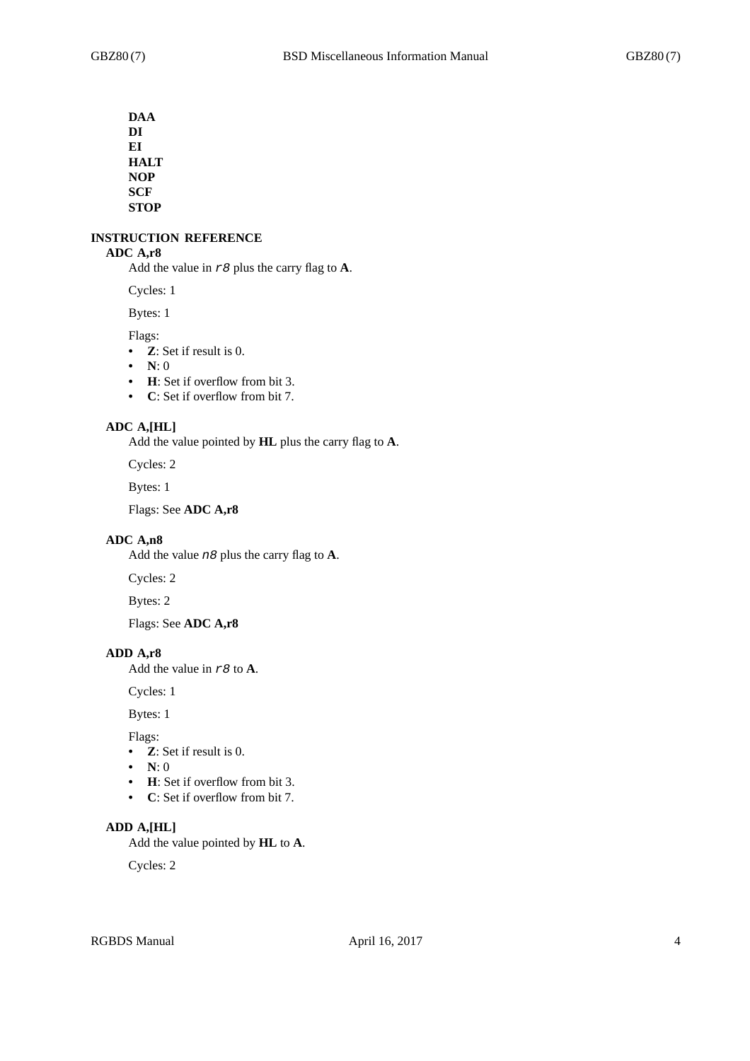**DAA DI EI HALT NOP SCF STOP**

#### **INSTRUCTION REFERENCE**

## **ADC A,r8**

Add the value in *r8* plus the carry flag to **A**.

Cycles: 1

Bytes: 1

Flags:

- **Z**: Set if result is 0.
- **N**: 0
- **H**: Set if overflow from bit 3.
- **C**: Set if overflow from bit 7.

# **ADC A,[HL]**

Add the value pointed by **HL** plus the carry flag to **A**.

Cycles: 2

Bytes: 1

Flags: See **ADC A,r8**

## **ADC A,n8**

Add the value *n8* plus the carry flag to **A**.

Cycles: 2

Bytes: 2

Flags: See **ADC A,r8**

#### **ADD A,r8**

Add the value in *r8* to **A**.

Cycles: 1

Bytes: 1

Flags:

- **Z**: Set if result is 0.
- **N**: 0
- **H**: Set if overflow from bit 3.
- **C**: Set if overflow from bit 7.

## **ADD A,[HL]**

Add the value pointed by **HL** to **A**.

Cycles: 2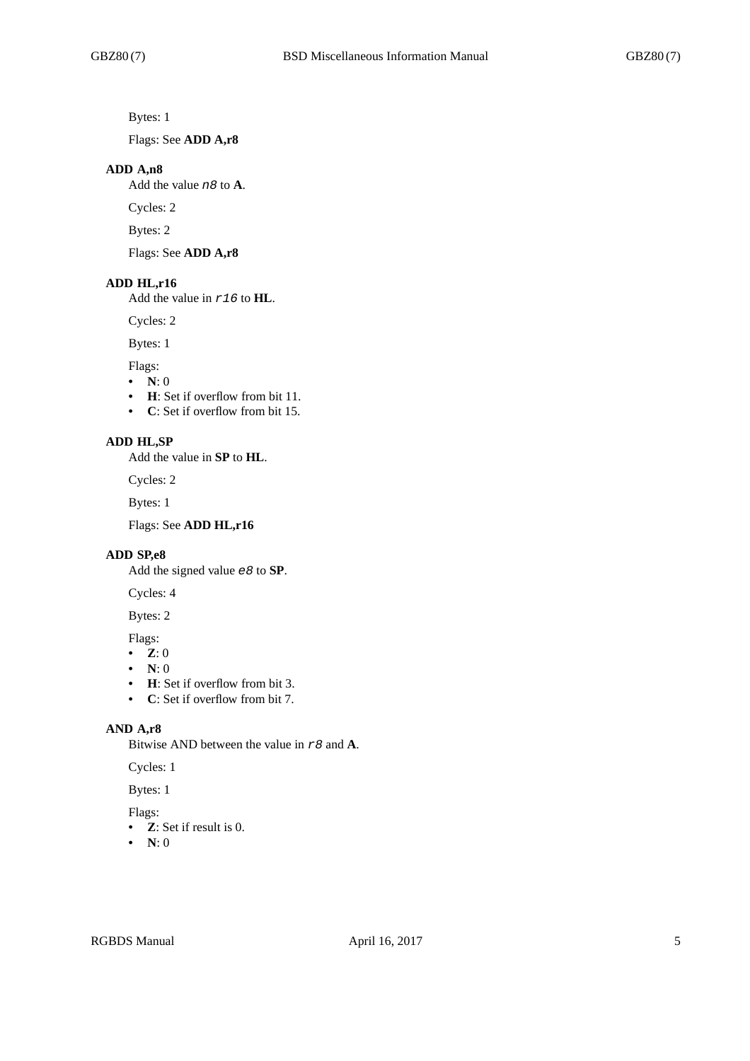Bytes: 1

Flags: See **ADD A,r8**

#### **ADD A,n8**

Add the value *n8* to **A**.

Cycles: 2

Bytes: 2

Flags: See **ADD A,r8**

# **ADD HL,r16**

Add the value in *r16* to **HL**.

Cycles: 2

Bytes: 1

Flags:

- $\bullet$  **N**: 0
- **H**: Set if overflow from bit 11.
- **C**: Set if overflow from bit 15.

## **ADD HL,SP**

Add the value in **SP** to **HL**.

Cycles: 2

Bytes: 1

Flags: See **ADD HL,r16**

#### **ADD SP,e8**

Add the signed value *e8* to **SP**.

Cycles: 4

# Bytes: 2

Flags:

- **Z**: 0
- **N**: 0
- **H**: Set if overflow from bit 3.
- **C**: Set if overflow from bit 7.

## **AND A,r8**

Bitwise AND between the value in *r8* and **A**.

Cycles: 1

Bytes: 1

# Flags:

- **Z**: Set if result is 0.
- **N**: 0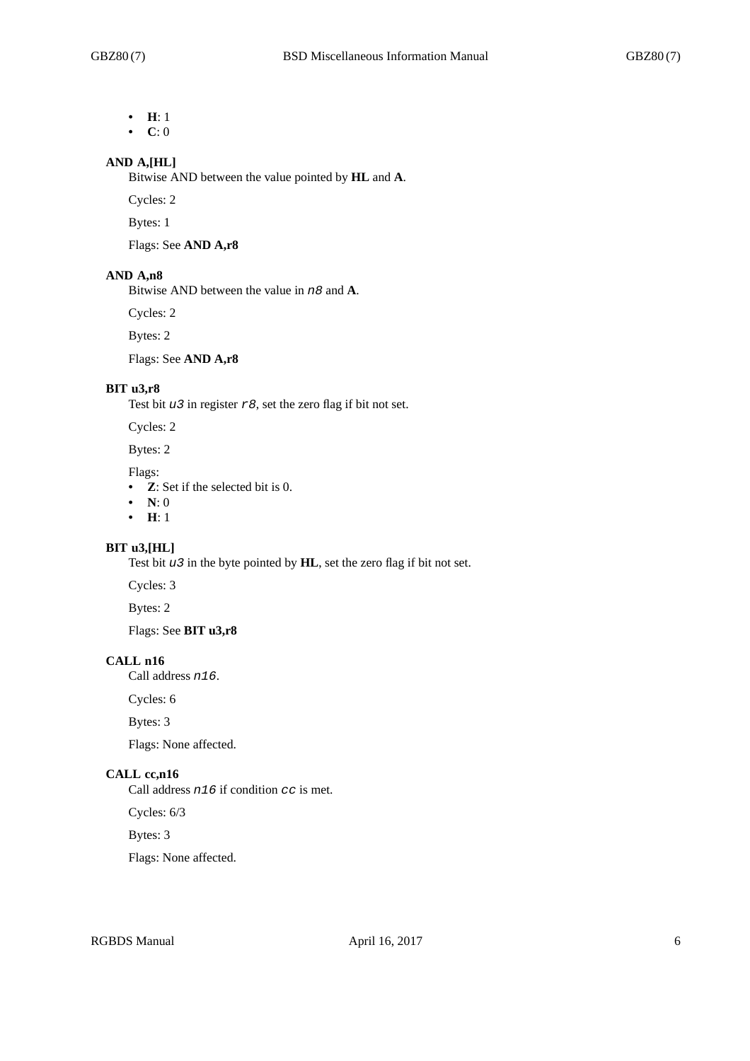- **H**: 1
- **C**: 0

# **AND A,[HL]**

Bitwise AND between the value pointed by **HL** and **A**.

Cycles: 2

Bytes: 1

Flags: See **AND A,r8**

#### **AND A,n8**

Bitwise AND between the value in *n8* and **A**.

Cycles: 2

Bytes: 2

Flags: See **AND A,r8**

## **BIT u3,r8**

Test bit *u3* in register *r8*, set the zero flag if bit not set.

Cycles: 2

Bytes: 2

Flags:

- **Z**: Set if the selected bit is 0.
- **N**: 0
- **H**: 1

# **BIT u3,[HL]**

Test bit *u3* in the byte pointed by **HL**, set the zero flag if bit not set.

Cycles: 3

Bytes: 2

Flags: See **BIT u3,r8**

# **CALL n16**

Call address *n16*.

Cycles: 6

Bytes: 3

Flags: None affected.

# **CALL cc,n16**

Call address *n16* if condition *cc* is met.

Cycles: 6/3

Bytes: 3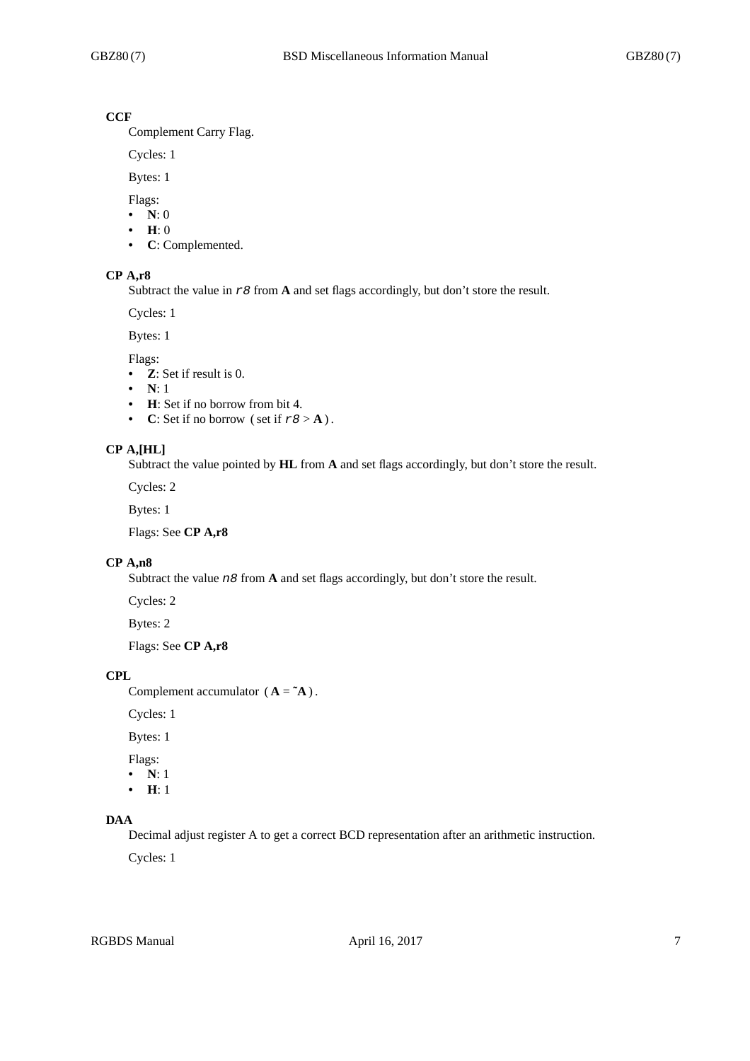# **CCF**

Complement Carry Flag.

Cycles: 1

Bytes: 1

Flags:

- **N**: 0
- **H**: 0
- **C**: Complemented.

#### **CP A,r8**

Subtract the value in *r8* from **A** and set flags accordingly, but don't store the result.

Cycles: 1

Bytes: 1

Flags:

- **Z**: Set if result is 0.
- **N**: 1
- **H**: Set if no borrow from bit 4.
- **C**: Set if no borrow (set if  $r8 > A$ ).

## **CP A,[HL]**

Subtract the value pointed by **HL** from **A** and set flags accordingly, but don't store the result.

Cycles: 2

Bytes: 1

Flags: See **CP A,r8**

## **CP A,n8**

Subtract the value *n8* from **A** and set flags accordingly, but don't store the result.

Cycles: 2

Bytes: 2

Flags: See **CP A,r8**

#### **CPL**

Complement accumulator  $(A = \mathbf{A})$ .

Cycles: 1

Bytes: 1

Flags:

**• N**: 1

**• H**: 1

# **DAA**

Decimal adjust register A to get a correct BCD representation after an arithmetic instruction.

Cycles: 1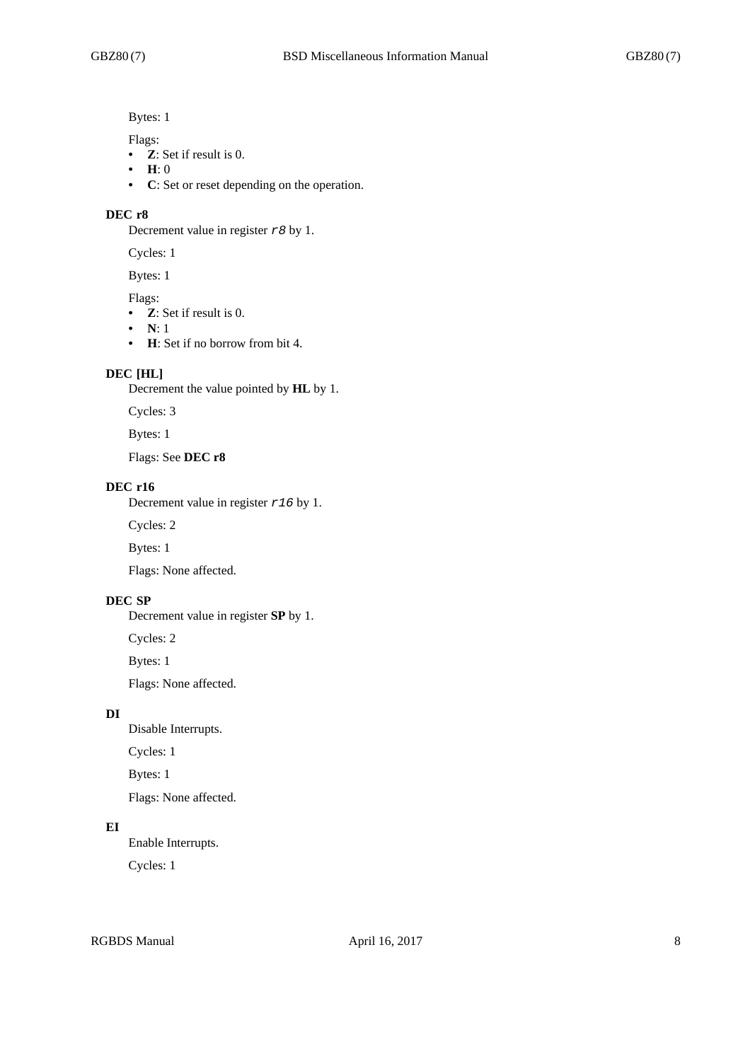Bytes: 1

Flags:

- **Z**: Set if result is 0.
- **H**: 0
- **C**: Set or reset depending on the operation.

#### **DEC r8**

Decrement value in register *r8* by 1.

Cycles: 1

Bytes: 1

Flags:

- **Z**: Set if result is 0.
- **N**: 1
- **H**: Set if no borrow from bit 4.

#### **DEC [HL]**

Decrement the value pointed by **HL** by 1.

Cycles: 3

Bytes: 1

Flags: See **DEC r8**

#### **DEC r16**

Decrement value in register *r16* by 1.

Cycles: 2

Bytes: 1

Flags: None affected.

# **DEC SP**

Decrement value in register **SP** by 1.

Cycles: 2

Bytes: 1

Flags: None affected.

## **DI**

Disable Interrupts.

Cycles: 1

Bytes: 1

Flags: None affected.

## **EI**

Enable Interrupts.

Cycles: 1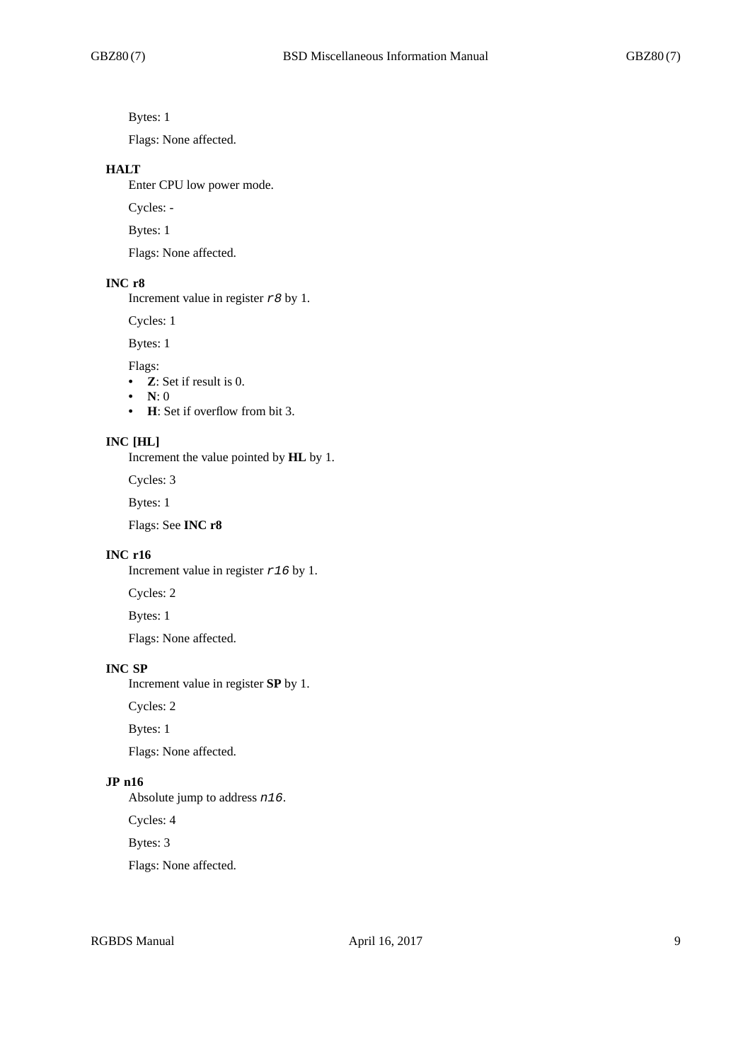Bytes: 1

Flags: None affected.

#### **HALT**

Enter CPU low power mode.

Cycles: -

Bytes: 1

Flags: None affected.

# **INC r8**

Increment value in register *r8* by 1.

Cycles: 1

Bytes: 1

Flags:

- **Z**: Set if result is 0.
- **N**: 0
- **H**: Set if overflow from bit 3.

#### **INC [HL]**

Increment the value pointed by **HL** by 1.

Cycles: 3

Bytes: 1

Flags: See **INC r8**

#### **INC r16**

Increment value in register *r16* by 1.

Cycles: 2

Bytes: 1

Flags: None affected.

## **INC SP**

Increment value in register **SP** by 1.

Cycles: 2

Bytes: 1

Flags: None affected.

# **JP n16**

Absolute jump to address *n16*.

Cycles: 4

Bytes: 3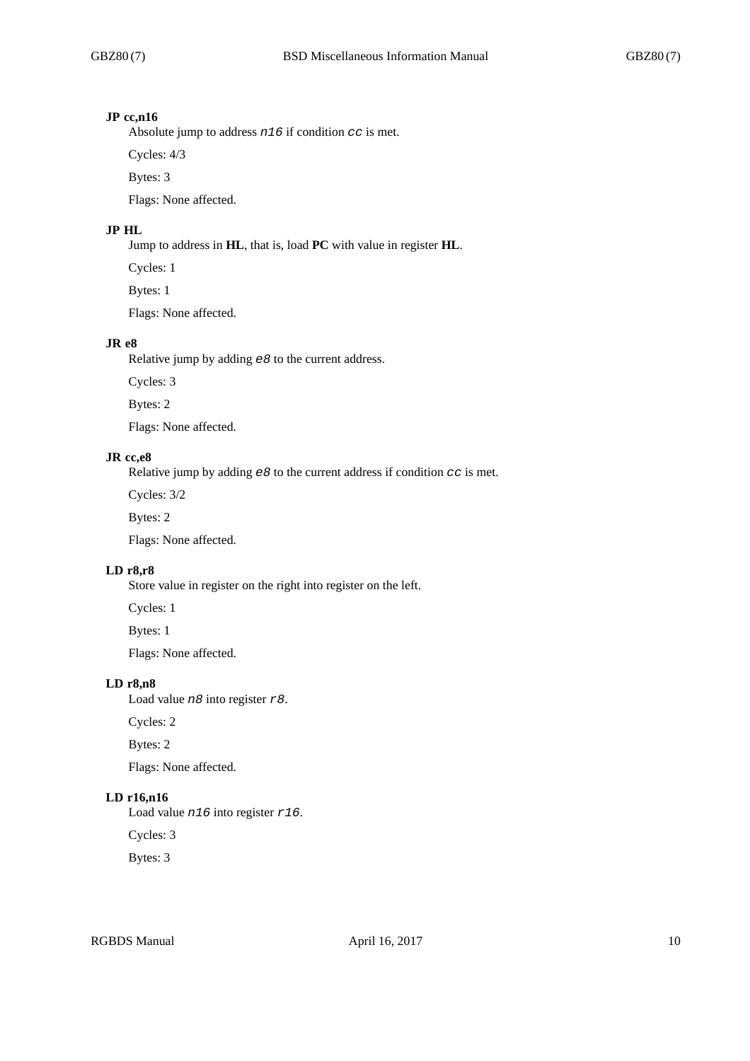#### **JP cc,n16**

Absolute jump to address *n16* if condition *cc* is met.

Cycles: 4/3

Bytes: 3

Flags: None affected.

# **JP HL**

Jump to address in **HL**, that is, load **PC** with value in register **HL**.

Cycles: 1

Bytes: 1

Flags: None affected.

#### **JR e8**

Relative jump by adding *e8* to the current address.

Cycles: 3

Bytes: 2

Flags: None affected.

## **JR cc,e8**

Relative jump by adding *e8* to the current address if condition *cc* is met.

Cycles: 3/2

Bytes: 2

Flags: None affected.

#### **LD r8,r8**

Store value in register on the right into register on the left.

Cycles: 1

Bytes: 1

Flags: None affected.

# **LD r8,n8**

Load value *n8* into register *r8*.

Cycles: 2

Bytes: 2

Flags: None affected.

# **LD r16,n16**

Load value *n16* into register *r16*.

Cycles: 3

Bytes: 3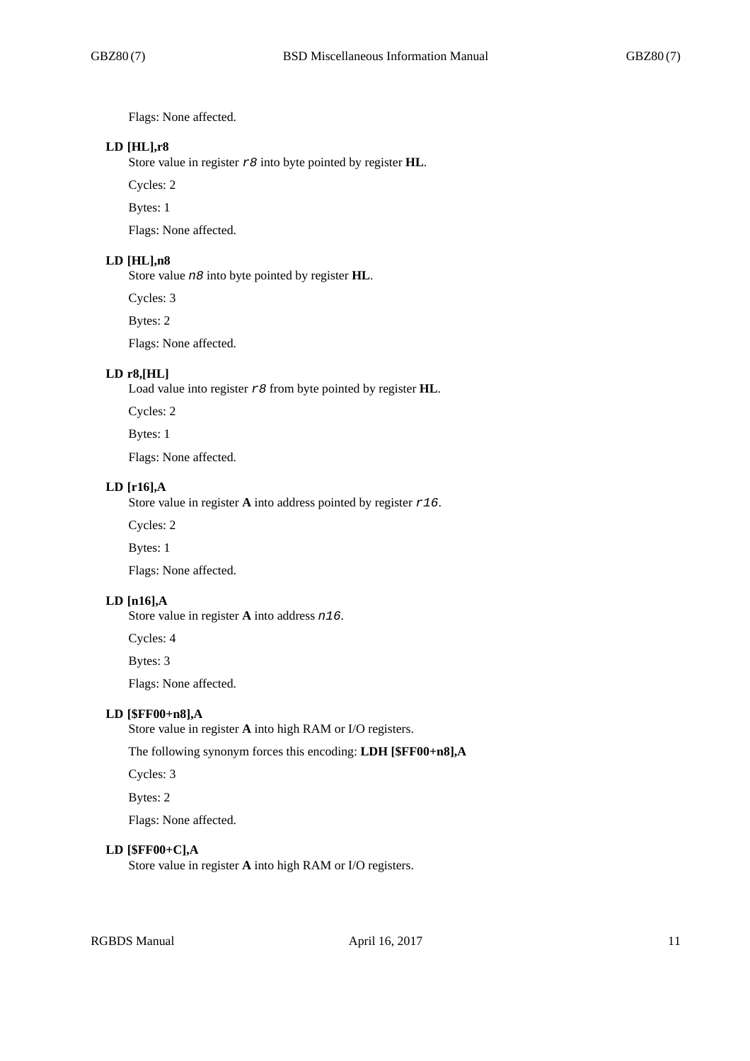Flags: None affected.

## **LD [HL],r8**

Store value in register *r8* into byte pointed by register **HL**.

Cycles: 2

Bytes: 1

Flags: None affected.

#### **LD [HL],n8**

Store value *n8* into byte pointed by register **HL**.

Cycles: 3

Bytes: 2

Flags: None affected.

# **LD r8,[HL]**

Load value into register *r8* from byte pointed by register **HL**.

Cycles: 2

Bytes: 1

Flags: None affected.

#### **LD [r16],A**

Store value in register **A** into address pointed by register *r16*.

Cycles: 2

Bytes: 1

Flags: None affected.

# **LD [n16],A**

Store value in register **A** into address *n16*.

Cycles: 4

Bytes: 3

Flags: None affected.

#### **LD [\$FF00+n8],A**

Store value in register **A** into high RAM or I/O registers.

The following synonym forces this encoding: **LDH [\$FF00+n8],A**

Cycles: 3

Bytes: 2

Flags: None affected.

#### **LD [\$FF00+C],A**

Store value in register **A** into high RAM or I/O registers.

RGBDS Manual April 16, 2017 11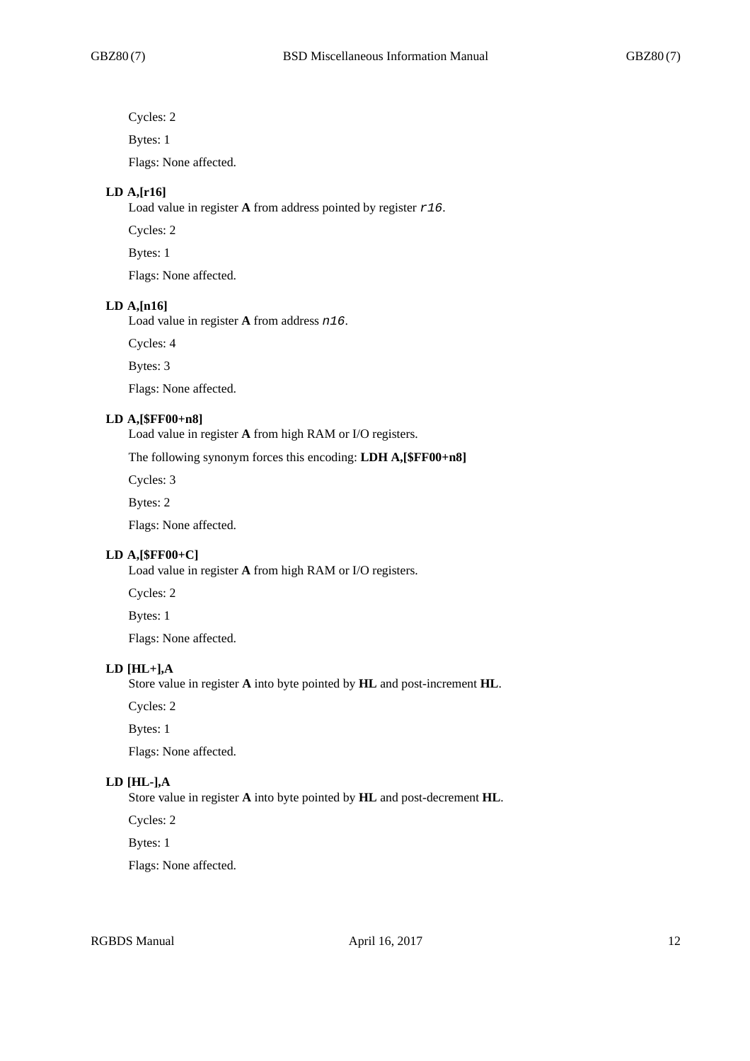Cycles: 2

Bytes: 1

Flags: None affected.

## **LD A,[r16]**

Load value in register **A** from address pointed by register *r16*.

Cycles: 2

Bytes: 1

Flags: None affected.

#### **LD A,[n16]**

Load value in register **A** from address *n16*.

Cycles: 4

Bytes: 3

Flags: None affected.

#### **LD A,[\$FF00+n8]**

Load value in register **A** from high RAM or I/O registers.

The following synonym forces this encoding: **LDH A,[\$FF00+n8]**

Cycles: 3

Bytes: 2

Flags: None affected.

#### **LD A,[\$FF00+C]**

Load value in register **A** from high RAM or I/O registers.

Cycles: 2

Bytes: 1

Flags: None affected.

# **LD [HL+],A**

Store value in register **A** into byte pointed by **HL** and post-increment **HL**.

Cycles: 2

Bytes: 1

Flags: None affected.

# **LD [HL-],A**

Store value in register **A** into byte pointed by **HL** and post-decrement **HL**.

Cycles: 2

Bytes: 1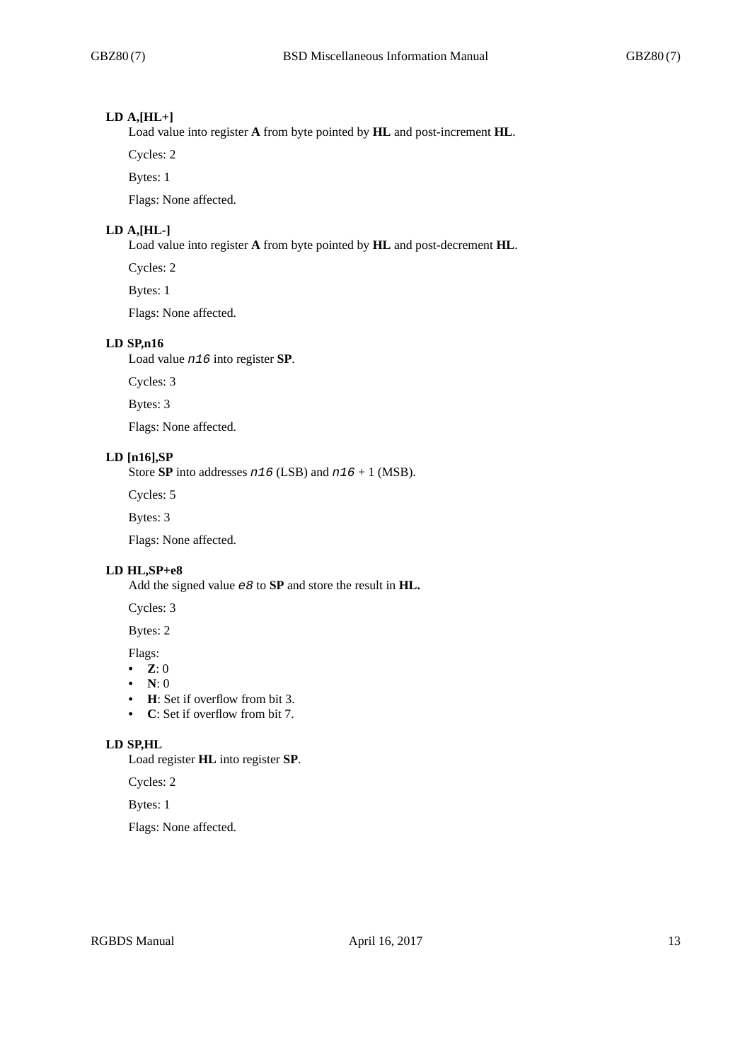## **LD A,[HL+]**

Load value into register **A** from byte pointed by **HL** and post-increment **HL**.

Cycles: 2

Bytes: 1

Flags: None affected.

# **LD A,[HL-]**

Load value into register **A** from byte pointed by **HL** and post-decrement **HL**.

Cycles: 2

Bytes: 1

Flags: None affected.

#### **LD SP,n16**

Load value *n16* into register **SP**.

Cycles: 3

Bytes: 3

Flags: None affected.

## **LD [n16],SP**

Store **SP** into addresses *n16* (LSB) and *n16* + 1 (MSB).

Cycles: 5

Bytes: 3

Flags: None affected.

## **LD HL,SP+e8**

Add the signed value *e8* to **SP** and store the result in **HL.**

Cycles: 3

Bytes: 2

Flags:

- **Z**: 0
- **N**: 0
- **H**: Set if overflow from bit 3.
- **C**: Set if overflow from bit 7.

# **LD SP,HL**

Load register **HL** into register **SP**.

Cycles: 2

Bytes: 1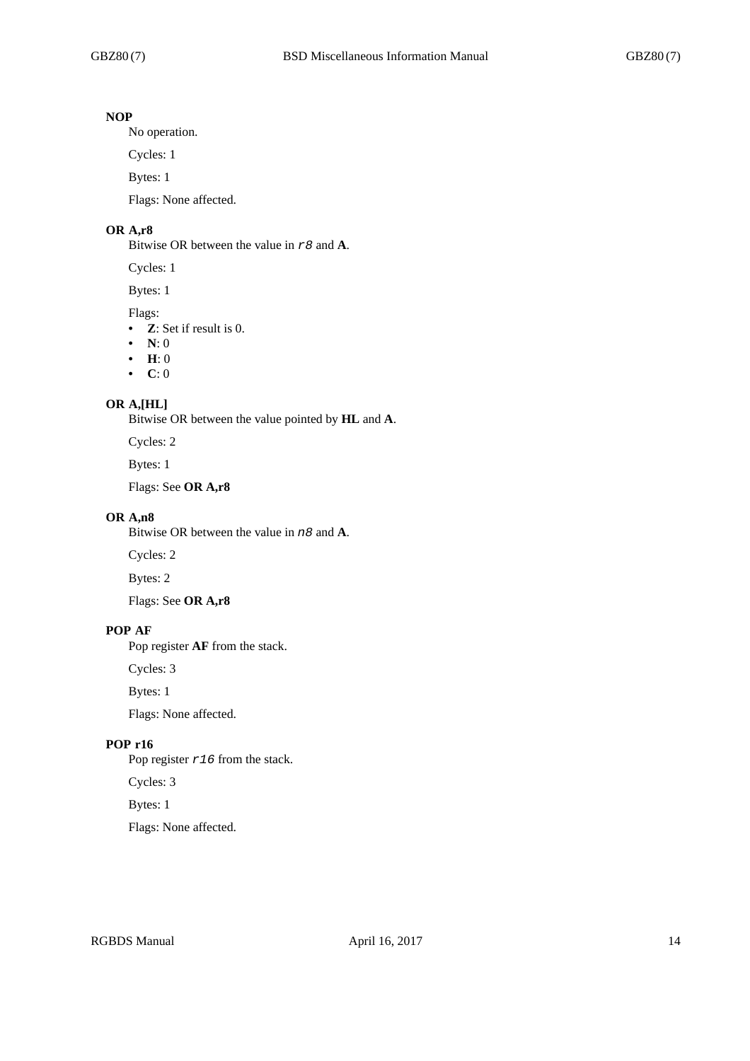# **NOP**

No operation.

Cycles: 1

Bytes: 1

Flags: None affected.

# **OR A,r8**

Bitwise OR between the value in *r8* and **A**.

Cycles: 1

Bytes: 1

## Flags:

- **Z**: Set if result is 0.
- **N**: 0
- **H**: 0
- **C**: 0

## **OR A,[HL]**

Bitwise OR between the value pointed by **HL** and **A**.

Cycles: 2

Bytes: 1

Flags: See **OR A,r8**

# **OR A,n8**

Bitwise OR between the value in *n8* and **A**.

Cycles: 2

Bytes: 2

Flags: See **OR A,r8**

## **POP AF**

Pop register **AF** from the stack.

Cycles: 3

Bytes: 1

Flags: None affected.

# **POP r16**

Pop register *r16* from the stack.

Cycles: 3

Bytes: 1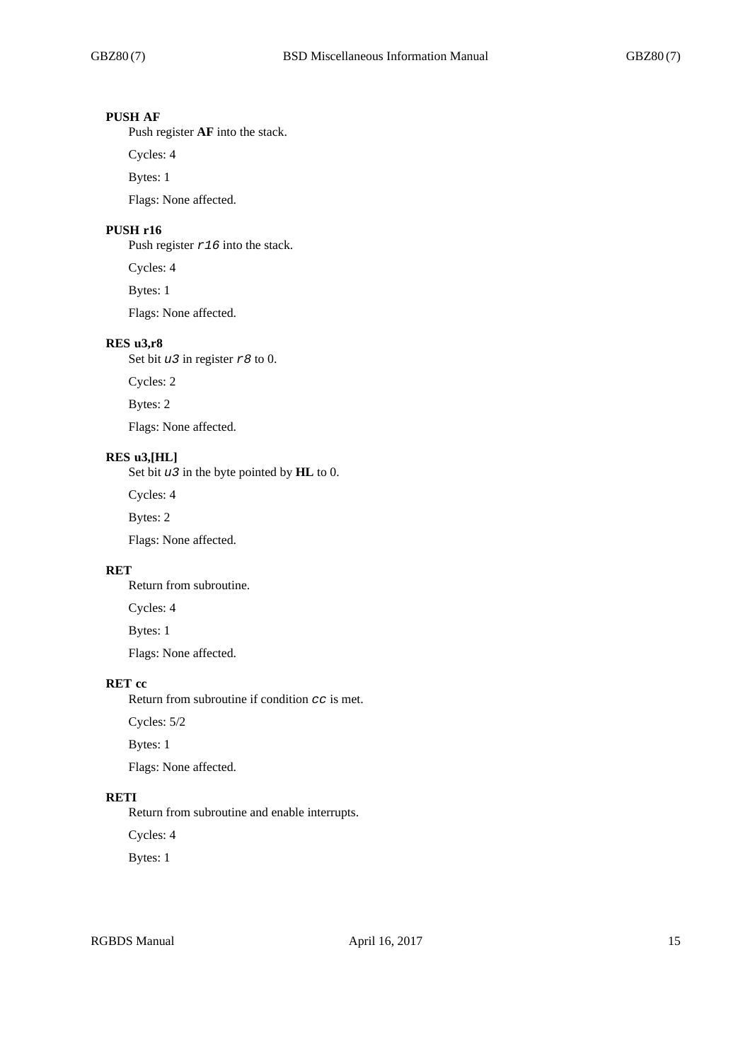# **PUSH AF**

Push register **AF** into the stack.

Cycles: 4

Bytes: 1

Flags: None affected.

# **PUSH r16**

Push register *r16* into the stack.

Cycles: 4

Bytes: 1

Flags: None affected.

## **RES u3,r8**

Set bit *u3* in register *r8* to 0.

Cycles: 2

Bytes: 2

Flags: None affected.

## **RES u3,[HL]**

Set bit *u3* in the byte pointed by **HL** to 0.

Cycles: 4

Bytes: 2

Flags: None affected.

## **RET**

Return from subroutine.

Cycles: 4

Bytes: 1

Flags: None affected.

# **RET cc**

Return from subroutine if condition *cc* is met.

Cycles: 5/2

Bytes: 1

Flags: None affected.

## **RETI**

Return from subroutine and enable interrupts.

Cycles: 4

Bytes: 1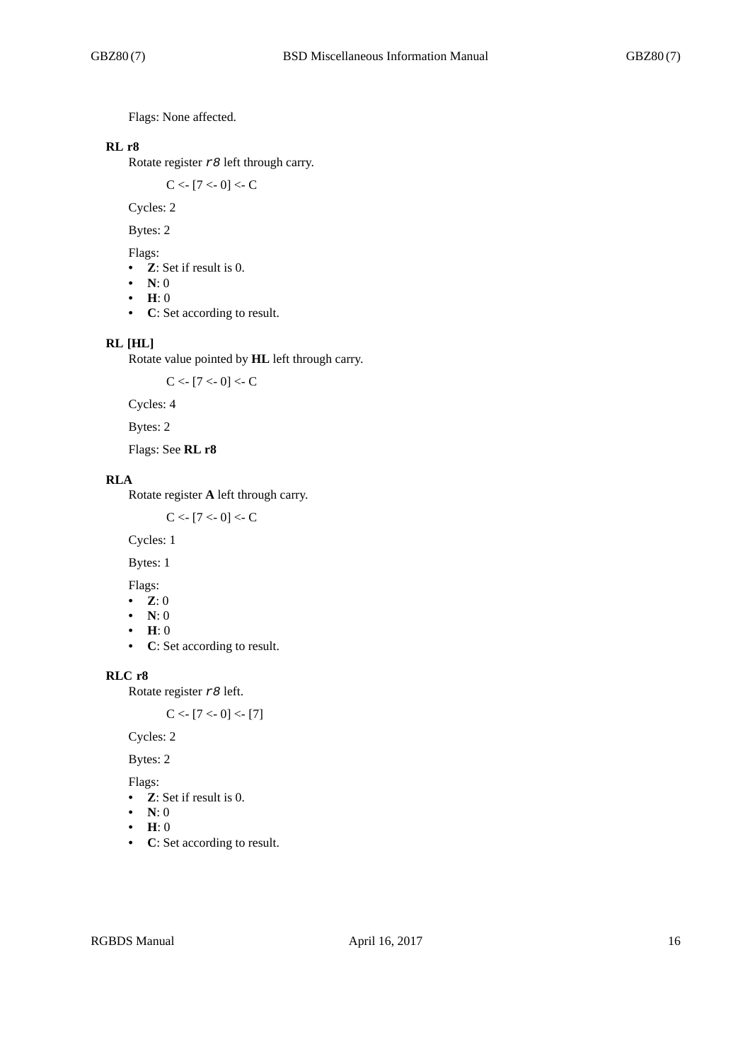Flags: None affected.

# **RL r8**

Rotate register *r8* left through carry.

 $C < [7 < 0] < C$ 

Cycles: 2

Bytes: 2

Flags:

- **Z**: Set if result is 0.
- **N**: 0
- **H**: 0
- **C**: Set according to result.

## **RL [HL]**

Rotate value pointed by **HL** left through carry.

 $C < [7 < 0] < C$ 

Cycles: 4

Bytes: 2

Flags: See **RL r8**

## **RLA**

Rotate register **A** left through carry.

 $C < [7 < 0] < C$ 

Cycles: 1

Bytes: 1

Flags:

- **Z**: 0
- **N**: 0
- **H**: 0
- **C**: Set according to result.

## **RLC r8**

Rotate register *r8* left.

 $C < [7 < 0] < [7]$ 

Cycles: 2

Bytes: 2

Flags:

- **Z**: Set if result is 0.
- **N**: 0
- **H**: 0
- **C**: Set according to result.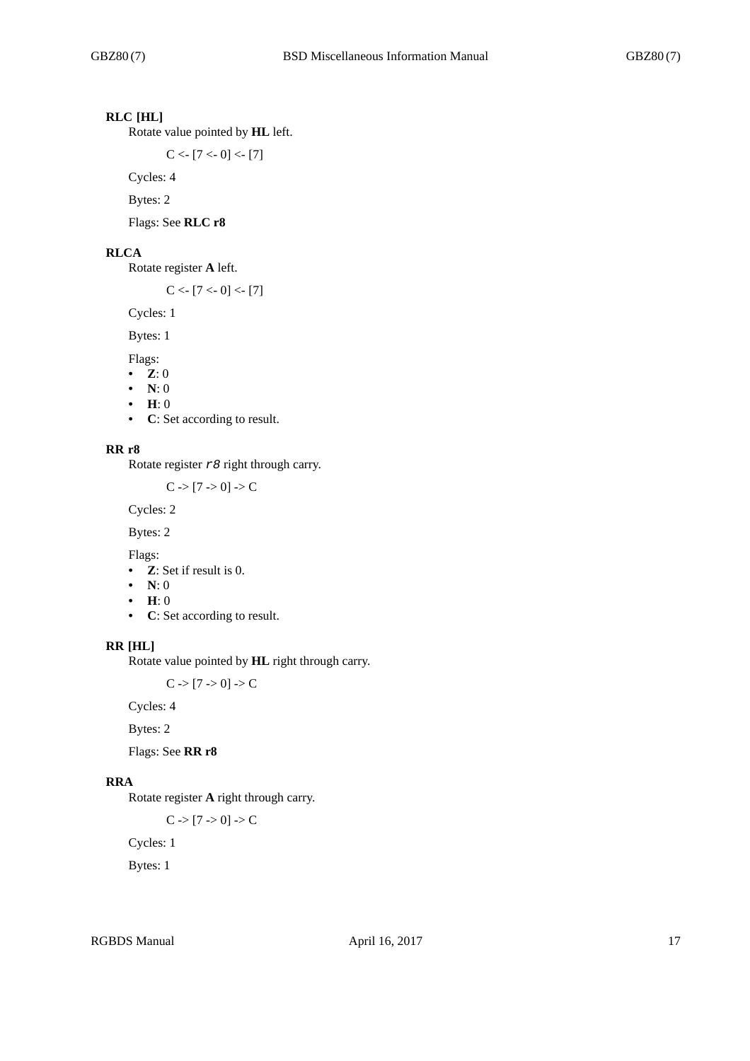# **RLC [HL]**

Rotate value pointed by **HL** left.

 $C < [7 < 0] < [7]$ 

Cycles: 4

Bytes: 2

Flags: See **RLC r8**

#### **RLCA**

Rotate register **A** left.

 $C < [7 < 0] < [7]$ 

Cycles: 1

Bytes: 1

Flags:

- **Z**: 0
- **N**: 0
- **H**: 0
- **C**: Set according to result.

#### **RR r8**

Rotate register *r8* right through carry.

 $C > [7 > 0] > C$ 

Cycles: 2

Bytes: 2

Flags:

- **Z**: Set if result is 0.
- **N**: 0
- **H**: 0
- **C**: Set according to result.

#### **RR [HL]**

Rotate value pointed by **HL** right through carry.

 $C \rightarrow [7 \rightarrow 0] \rightarrow C$ 

Cycles: 4

Bytes: 2

Flags: See **RR r8**

# **RRA**

Rotate register **A** right through carry.

 $C \rightarrow [7 \rightarrow 0] \rightarrow C$ 

Cycles: 1

Bytes: 1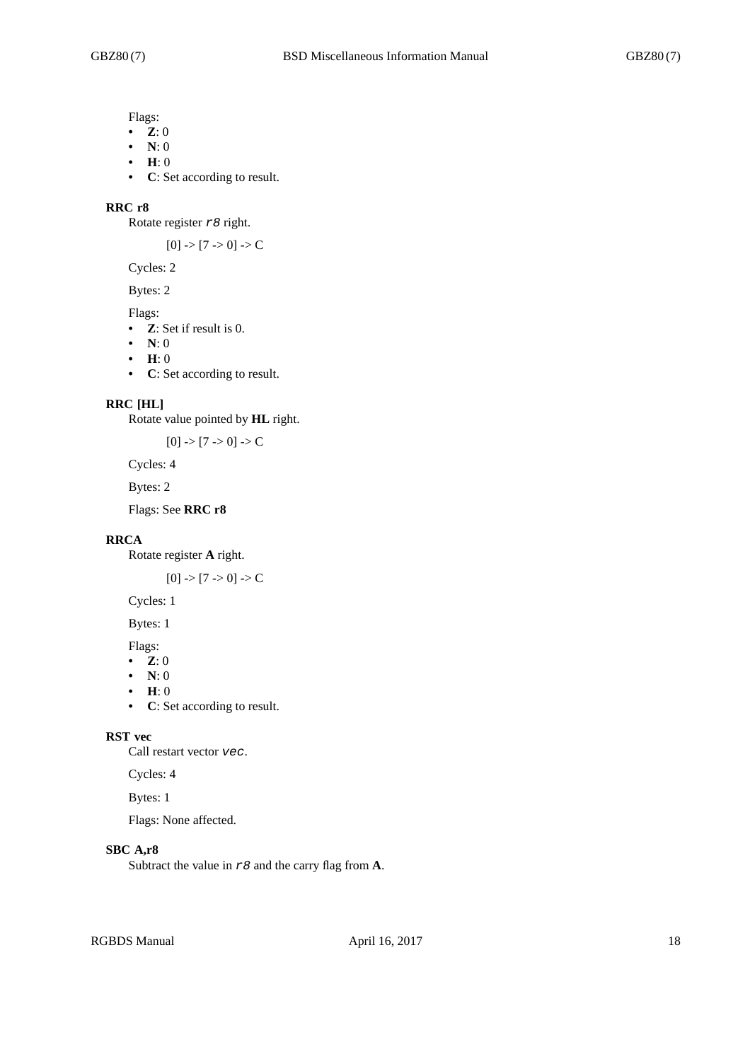Flags:

- **Z**: 0
- **N**: 0
- **H**: 0
- **C**: Set according to result.

#### **RRC r8**

Rotate register *r8* right.

 $[0]$  ->  $[7$  -> 0] -> C

Cycles: 2

Bytes: 2

- Flags:
- **Z**: Set if result is 0.
- **N**: 0
- **H**: 0
- **C**: Set according to result.

#### **RRC [HL]**

Rotate value pointed by **HL** right.

 $[0]$  ->  $[7$  -> 0] -> C

Cycles: 4

Bytes: 2

Flags: See **RRC r8**

# **RRCA**

Rotate register **A** right.

 $[0]$  ->  $[7$  -> 0] -> C

Cycles: 1

Bytes: 1

Flags:

- **Z**: 0
- **N**: 0
- **H**: 0
- **C**: Set according to result.

## **RST vec**

Call restart vector *vec*.

Cycles: 4

Bytes: 1

Flags: None affected.

# **SBC A,r8**

Subtract the value in *r8* and the carry flag from **A**.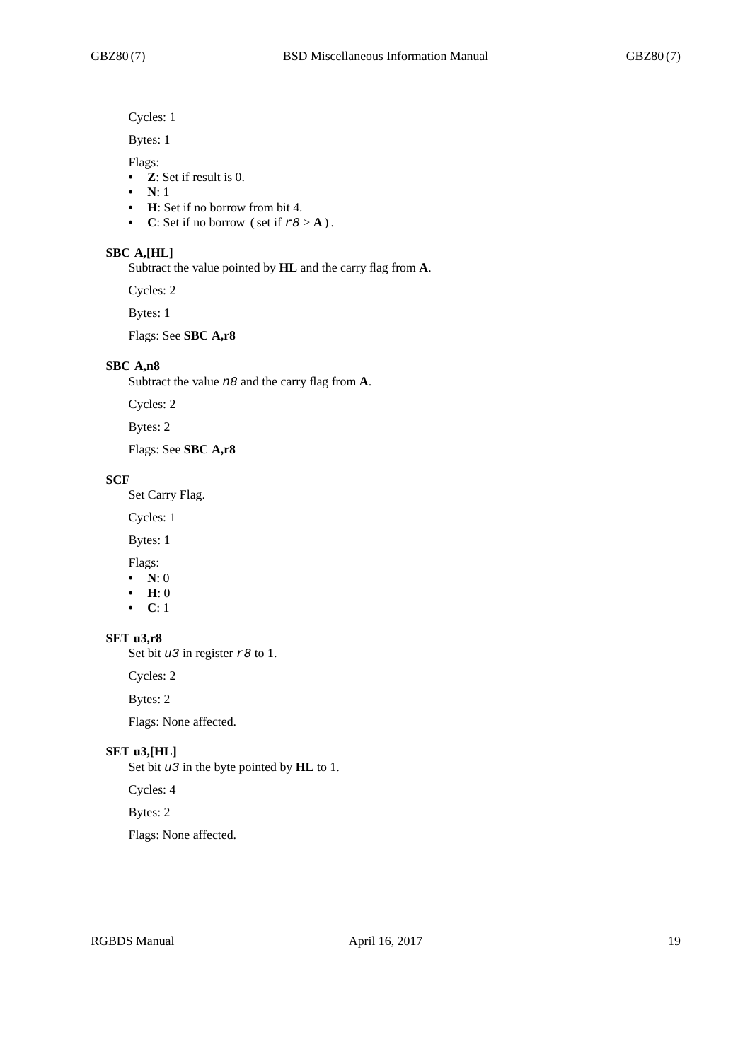Cycles: 1

Bytes: 1

Flags:

- **Z**: Set if result is 0.
- **N**: 1
- **H**: Set if no borrow from bit 4.
- **C**: Set if no borrow (set if  $r8 > A$ ).

#### **SBC A,[HL]**

Subtract the value pointed by **HL** and the carry flag from **A**.

Cycles: 2

Bytes: 1

Flags: See **SBC A,r8**

#### **SBC A,n8**

Subtract the value *n8* and the carry flag from **A**.

Cycles: 2

Bytes: 2

Flags: See **SBC A,r8**

#### **SCF**

Set Carry Flag.

Cycles: 1

Bytes: 1

Flags:

- **N**: 0
- **H**: 0
- **C**: 1

## **SET u3,r8**

Set bit *u3* in register *r8* to 1.

Cycles: 2

Bytes: 2

Flags: None affected.

#### **SET u3,[HL]**

Set bit *u3* in the byte pointed by **HL** to 1.

#### Cycles: 4

Bytes: 2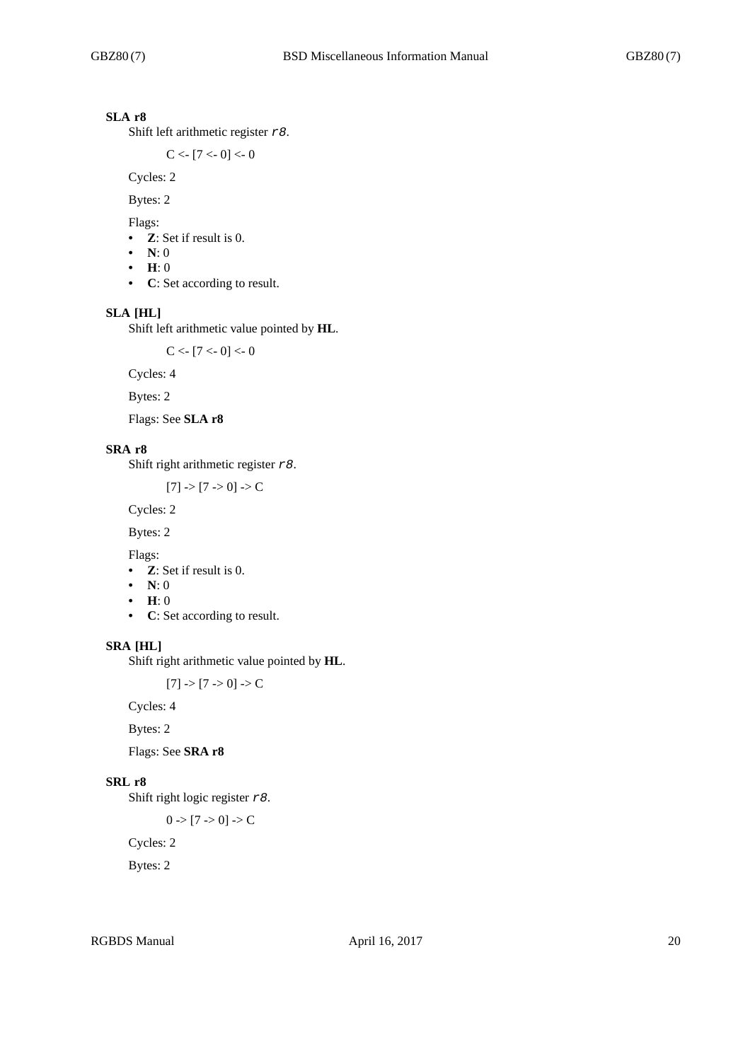# **SLA r8**

Shift left arithmetic register *r8*.

 $C < [7 < 0] < 0$ 

Cycles: 2

Bytes: 2

Flags:

- **Z**: Set if result is 0.
- **N**: 0
- **H**: 0
- **C**: Set according to result.

# **SLA [HL]**

Shift left arithmetic value pointed by **HL**.

 $C < [7 < 0] < 0$ 

Cycles: 4

Bytes: 2

Flags: See **SLA r8**

# **SRA r8**

Shift right arithmetic register *r8*.

 $[7]$  ->  $[7$  -> 0] -> C

Cycles: 2

Bytes: 2

Flags:

- **Z**: Set if result is 0.
- **N**: 0
- **H**: 0
- **C**: Set according to result.

# **SRA [HL]**

Shift right arithmetic value pointed by **HL**.

 $[7]$  ->  $[7$  -> 0] -> C

Cycles: 4

Bytes: 2

Flags: See **SRA r8**

### **SRL r8**

Shift right logic register *r8*.

$$
0 > [7 > 0] > C
$$

Cycles: 2

Bytes: 2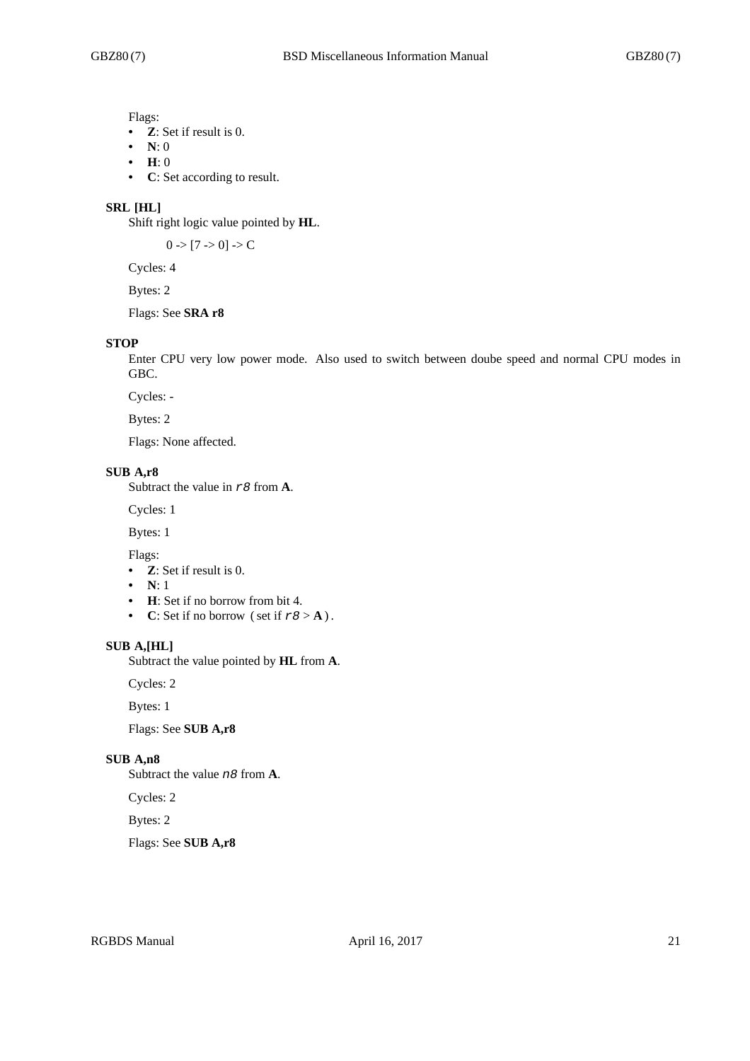Flags:

- **Z**: Set if result is 0.
- **N**: 0
- **H**: 0
- **C**: Set according to result.

#### **SRL [HL]**

Shift right logic value pointed by **HL**.

 $0 \rightarrow [7 \rightarrow 0] \rightarrow C$ 

Cycles: 4

Bytes: 2

# Flags: See **SRA r8**

#### **STOP**

Enter CPU very low power mode. Also used to switch between doube speed and normal CPU modes in GBC.

Cycles: -

Bytes: 2

Flags: None affected.

#### **SUB A,r8**

Subtract the value in *r8* from **A**.

Cycles: 1

Bytes: 1

Flags:

- **Z**: Set if result is 0.
- **N**: 1
- **H**: Set if no borrow from bit 4.
- **C**: Set if no borrow (set if  $r8 > A$ ).

#### **SUB A,[HL]**

Subtract the value pointed by **HL** from **A**.

Cycles: 2

Bytes: 1

Flags: See **SUB A,r8**

#### **SUB A,n8**

Subtract the value *n8* from **A**.

Cycles: 2

Bytes: 2

Flags: See **SUB A,r8**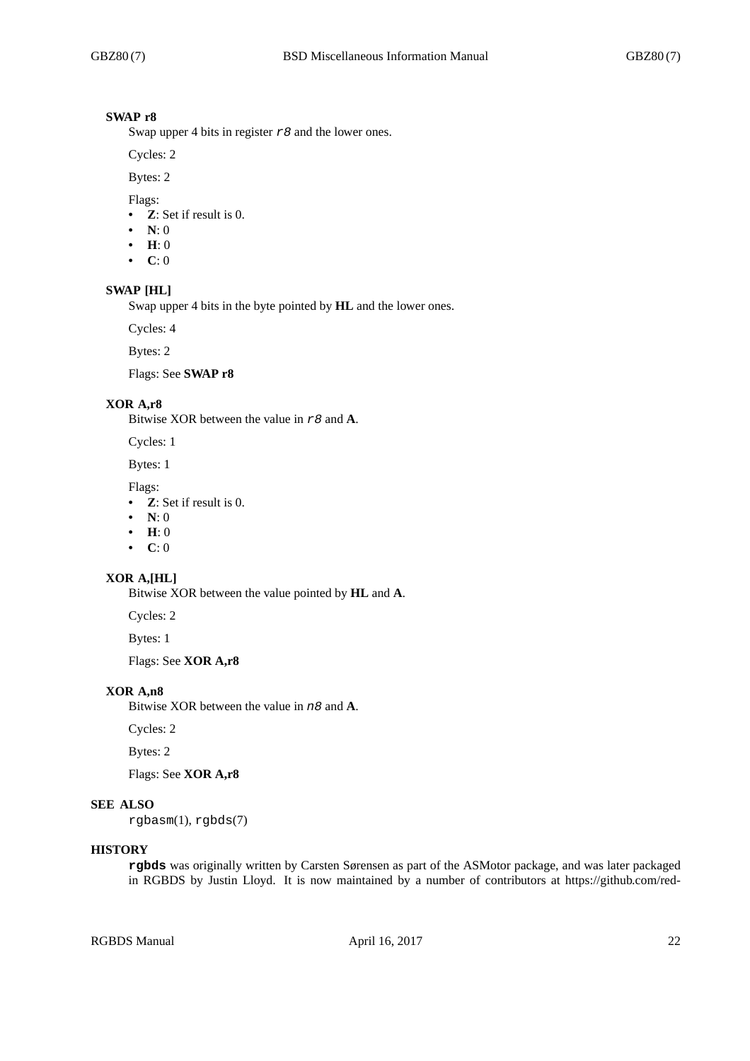## **SWAP r8**

Swap upper 4 bits in register *r8* and the lower ones.

Cycles: 2

Bytes: 2

Flags:

- **Z**: Set if result is 0.
- **N**: 0
- **H**: 0
- **C**: 0

#### **SWAP [HL]**

Swap upper 4 bits in the byte pointed by **HL** and the lower ones.

Cycles: 4

Bytes: 2

Flags: See **SWAP r8**

## **XOR A,r8**

Bitwise XOR between the value in *r8* and **A**.

Cycles: 1

Bytes: 1

Flags:

- **Z**: Set if result is 0.
- **N**: 0
- **H**: 0
- **C**: 0

## **XOR A,[HL]**

Bitwise XOR between the value pointed by **HL** and **A**.

Cycles: 2

Bytes: 1

Flags: See **XOR A,r8**

#### **XOR A,n8**

Bitwise XOR between the value in *n8* and **A**.

Cycles: 2

Bytes: 2

Flags: See **XOR A,r8**

## **SEE ALSO**

rgbasm(1), rgbds(7)

## **HISTORY**

**rgbds** was originally written by Carsten Sørensen as part of the ASMotor package, and was later packaged in RGBDS by Justin Lloyd. It is now maintained by a number of contributors at https://github.com/red